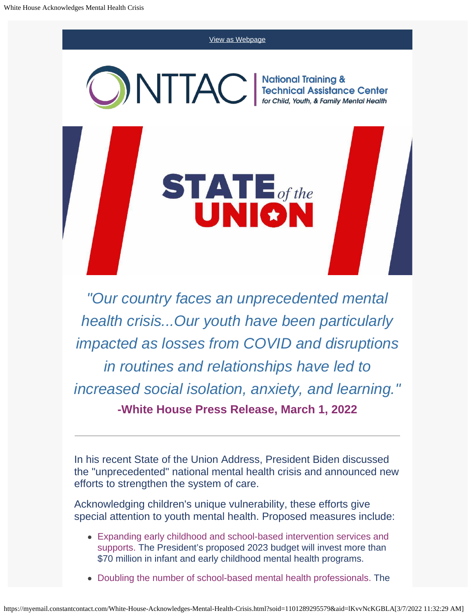[View as Webpage](https://campaignlp.constantcontact.com/em/1101289295579/36f6fcc9-a1e3-49cd-b019-0982d9df1a62) NTIAC Mational Training &<br>Technical Assistance Center<br>for Child, Youth, & Family Mental Health **STATE** of the

*"Our country faces an unprecedented mental health crisis...Our youth have been particularly impacted as losses from COVID and disruptions in routines and relationships have led to increased social isolation, anxiety, and learning."* **-White House Press Release, March 1, 2022**

In his recent State of the Union Address, President Biden discussed the "unprecedented" national mental health crisis and announced new efforts to strengthen the system of care.

Acknowledging children's unique vulnerability, these efforts give special attention to youth mental health. Proposed measures include:

- Expanding early childhood and school-based intervention services and supports. The President's proposed 2023 budget will invest more than \$70 million in infant and early childhood mental health programs.
- Doubling the number of school-based mental health professionals. The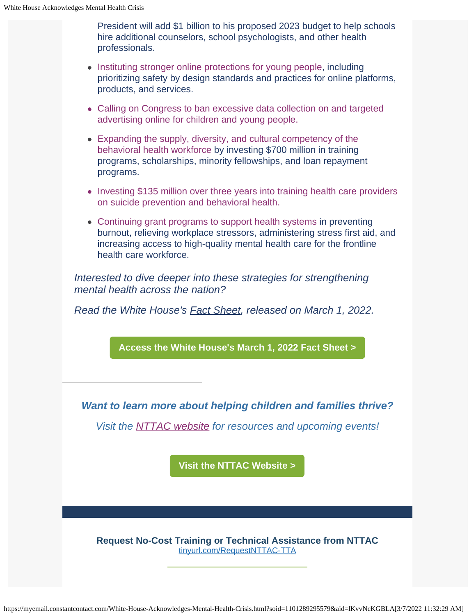President will add \$1 billion to his proposed 2023 budget to help schools hire additional counselors, school psychologists, and other health professionals.

- Instituting stronger online protections for young people, including prioritizing safety by design standards and practices for online platforms, products, and services.
- Calling on Congress to ban excessive data collection on and targeted advertising online for children and young people.
- Expanding the supply, diversity, and cultural competency of the behavioral health workforce by investing \$700 million in training programs, scholarships, minority fellowships, and loan repayment programs.
- Investing \$135 million over three years into training health care providers on suicide prevention and behavioral health.
- Continuing grant programs to support health systems in preventing burnout, relieving workplace stressors, administering stress first aid, and increasing access to high-quality mental health care for the frontline health care workforce.

*Interested to dive deeper into these strategies for strengthening mental health across the nation?*

*Read the White House's [Fact Sheet](https://www.whitehouse.gov/briefing-room/statements-releases/2022/03/01/fact-sheet-president-biden-to-announce-strategy-to-address-our-national-mental-health-crisis-as-part-of-unity-agenda-in-his-first-state-of-the-union/), released on March 1, 2022.*

**[Access the White House's March 1, 2022 Fact Sheet >](https://www.whitehouse.gov/briefing-room/statements-releases/2022/03/01/fact-sheet-president-biden-to-announce-strategy-to-address-our-national-mental-health-crisis-as-part-of-unity-agenda-in-his-first-state-of-the-union/)**

*Want to learn more about helping children and families thrive?*

*Visit the [NTTAC website](https://nttacmentalhealth.org/) for resources and upcoming events!*

**[Visit the NTTAC Website >](https://nttacmentalhealth.org/)**

**Request No-Cost Training or Technical Assistance from NTTAC** [tinyurl.com/RequestNTTAC-TTA](https://tinyurl.com/RequestNTTAC-TTA)